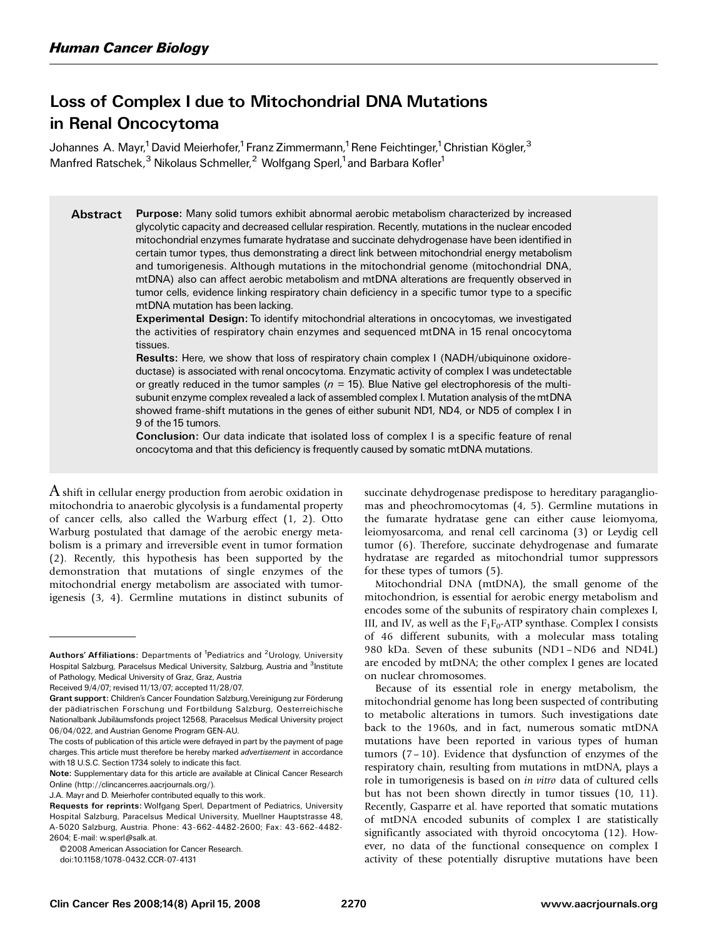# Loss of Complex I due to Mitochondrial DNA Mutations in Renal Oncocytoma

Johannes A. Mayr,<sup>1</sup> David Meierhofer,<sup>1</sup> Franz Zimmermann,<sup>1</sup> Rene Feichtinger,<sup>1</sup> Christian Kögler,<sup>3</sup> Manfred Ratschek,<sup>3</sup> Nikolaus Schmeller,<sup>2</sup> Wolfgang Sperl,<sup>1</sup> and Barbara Kofler<sup>1</sup>

Abstract Purpose: Many solid tumors exhibit abnormal aerobic metabolism characterized by increased glycolytic capacity and decreased cellular respiration. Recently, mutations in the nuclear encoded mitochondrial enzymes fumarate hydratase and succinate dehydrogenase have been identified in certain tumor types, thus demonstrating a direct link between mitochondrial energy metabolism and tumorigenesis. Although mutations in the mitochondrial genome (mitochondrial DNA, mtDNA) also can affect aerobic metabolism and mtDNA alterations are frequently observed in tumor cells, evidence linking respiratory chain deficiency in a specific tumor type to a specific mtDNA mutation has been lacking.

> Experimental Design: To identify mitochondrial alterations in oncocytomas, we investigated the activities of respiratory chain enzymes and sequenced mtDNA in 15 renal oncocytoma tissues.

> Results: Here, we show that loss of respiratory chain complex I (NADH/ubiquinone oxidoreductase) is associated with renal oncocytoma. Enzymatic activity of complex I was undetectable or greatly reduced in the tumor samples ( $n = 15$ ). Blue Native gel electrophoresis of the multisubunit enzyme complex revealed a lack of assembled complex I. Mutation analysis of the mtDNA showed frame-shift mutations in the genes of either subunit ND1, ND4, or ND5 of complex I in 9 of the 15 tumors.

> Conclusion: Our data indicate that isolated loss of complex I is a specific feature of renal oncocytoma and that this deficiency is frequently caused by somatic mtDNA mutations.

 $\Lambda$  shift in cellular energy production from aerobic oxidation in mitochondria to anaerobic glycolysis is a fundamental property of cancer cells, also called the Warburg effect (1, 2). Otto Warburg postulated that damage of the aerobic energy metabolism is a primary and irreversible event in tumor formation (2). Recently, this hypothesis has been supported by the demonstration that mutations of single enzymes of the mitochondrial energy metabolism are associated with tumorigenesis (3, 4). Germline mutations in distinct subunits of succinate dehydrogenase predispose to hereditary paragangliomas and pheochromocytomas (4, 5). Germline mutations in the fumarate hydratase gene can either cause leiomyoma, leiomyosarcoma, and renal cell carcinoma (3) or Leydig cell tumor (6). Therefore, succinate dehydrogenase and fumarate hydratase are regarded as mitochondrial tumor suppressors for these types of tumors (5).

Mitochondrial DNA (mtDNA), the small genome of the mitochondrion, is essential for aerobic energy metabolism and encodes some of the subunits of respiratory chain complexes I, III, and IV, as well as the  $F_1F_0$ -ATP synthase. Complex I consists of 46 different subunits, with a molecular mass totaling 980 kDa. Seven of these subunits (ND1 –ND6 and ND4L) are encoded by mtDNA; the other complex I genes are located on nuclear chromosomes.

Because of its essential role in energy metabolism, the mitochondrial genome has long been suspected of contributing to metabolic alterations in tumors. Such investigations date back to the 1960s, and in fact, numerous somatic mtDNA mutations have been reported in various types of human tumors (7 – 10). Evidence that dysfunction of enzymes of the respiratory chain, resulting from mutations in mtDNA, plays a role in tumorigenesis is based on in vitro data of cultured cells but has not been shown directly in tumor tissues (10, 11). Recently, Gasparre et al. have reported that somatic mutations of mtDNA encoded subunits of complex I are statistically significantly associated with thyroid oncocytoma (12). However, no data of the functional consequence on complex I activity of these potentially disruptive mutations have been

Authors' Affiliations: Departments of <sup>1</sup>Pediatrics and <sup>2</sup>Urology, University Hospital Salzburg, Paracelsus Medical University, Salzburg, Austria and <sup>3</sup>Institute of Pathology, Medical University of Graz, Graz, Austria

Received 9/4/07; revised 11/13/07; accepted 11/28/07.

Grant support: Children's Cancer Foundation Salzburg, Vereinigung zur Förderung der pädiatrischen Forschung und Fortbildung Salzburg, Oesterreichische Nationalbank Jubiläumsfonds project 12568, Paracelsus Medical University project 06/04/022, and Austrian Genome Program GEN-AU.

The costs of publication of this article were defrayed in part by the payment of page charges. This article must therefore be hereby marked advertisement in accordance with 18 U.S.C. Section 1734 solely to indicate this fact.

Note: Supplementary data for this article are available at Clinical Cancer Research Online (http://clincancerres.aacrjournals.org/).

J.A. Mayr and D. Meierhofer contributed equally to this work.

Requests for reprints: Wolfgang Sperl, Department of Pediatrics, University Hospital Salzburg, Paracelsus Medical University, Muellner Hauptstrasse 48, A-5020 Salzburg, Austria. Phone: 43-662-4482-2600; Fax: 43-662-4482- 2604; E-mail: w.sperl@salk.at.

<sup>©2008</sup> American Association for Cancer Research.

doi:10.1158/1078-0432.CCR-07-4131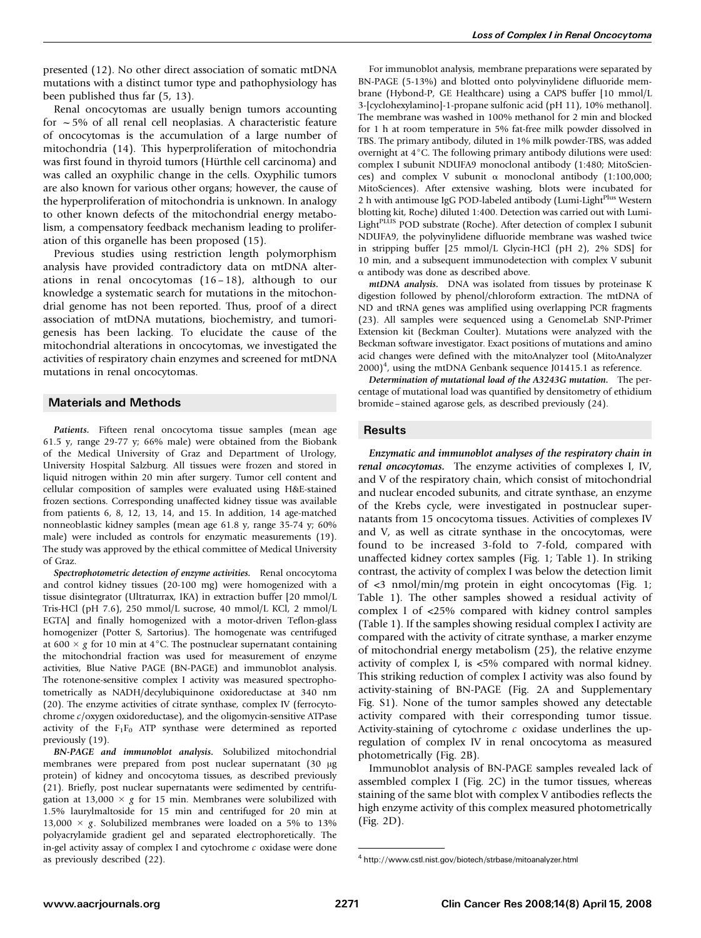presented (12). No other direct association of somatic mtDNA mutations with a distinct tumor type and pathophysiology has been published thus far (5, 13).

Renal oncocytomas are usually benign tumors accounting for  $\sim$  5% of all renal cell neoplasias. A characteristic feature of oncocytomas is the accumulation of a large number of mitochondria (14). This hyperproliferation of mitochondria was first found in thyroid tumors (Hürthle cell carcinoma) and was called an oxyphilic change in the cells. Oxyphilic tumors are also known for various other organs; however, the cause of the hyperproliferation of mitochondria is unknown. In analogy to other known defects of the mitochondrial energy metabolism, a compensatory feedback mechanism leading to proliferation of this organelle has been proposed (15).

Previous studies using restriction length polymorphism analysis have provided contradictory data on mtDNA alterations in renal oncocytomas (16 – 18), although to our knowledge a systematic search for mutations in the mitochondrial genome has not been reported. Thus, proof of a direct association of mtDNA mutations, biochemistry, and tumorigenesis has been lacking. To elucidate the cause of the mitochondrial alterations in oncocytomas, we investigated the activities of respiratory chain enzymes and screened for mtDNA mutations in renal oncocytomas.

## Materials and Methods

Patients. Fifteen renal oncocytoma tissue samples (mean age 61.5 y, range 29-77 y; 66% male) were obtained from the Biobank of the Medical University of Graz and Department of Urology, University Hospital Salzburg. All tissues were frozen and stored in liquid nitrogen within 20 min after surgery. Tumor cell content and cellular composition of samples were evaluated using H&E-stained frozen sections. Corresponding unaffected kidney tissue was available from patients 6, 8, 12, 13, 14, and 15. In addition, 14 age-matched nonneoblastic kidney samples (mean age 61.8 y, range 35-74 y; 60% male) were included as controls for enzymatic measurements (19). The study was approved by the ethical committee of Medical University of Graz.

Spectrophotometric detection of enzyme activities. Renal oncocytoma and control kidney tissues (20-100 mg) were homogenized with a tissue disintegrator (Ultraturrax, IKA) in extraction buffer [20 mmol/L Tris-HCl (pH 7.6), 250 mmol/L sucrose, 40 mmol/L KCl, 2 mmol/L EGTA] and finally homogenized with a motor-driven Teflon-glass homogenizer (Potter S, Sartorius). The homogenate was centrifuged at 600  $\times$  g for 10 min at 4 °C. The postnuclear supernatant containing the mitochondrial fraction was used for measurement of enzyme activities, Blue Native PAGE (BN-PAGE) and immunoblot analysis. The rotenone-sensitive complex I activity was measured spectrophotometrically as NADH/decylubiquinone oxidoreductase at 340 nm (20). The enzyme activities of citrate synthase, complex IV (ferrocytochrome c/oxygen oxidoreductase), and the oligomycin-sensitive ATPase activity of the  $F_1F_0$  ATP synthase were determined as reported previously (19).

BN-PAGE and immunoblot analysis. Solubilized mitochondrial membranes were prepared from post nuclear supernatant (30 µg protein) of kidney and oncocytoma tissues, as described previously (21). Briefly, post nuclear supernatants were sedimented by centrifugation at 13,000  $\times$  g for 15 min. Membranes were solubilized with 1.5% laurylmaltoside for 15 min and centrifuged for 20 min at 13,000  $\times$  g. Solubilized membranes were loaded on a 5% to 13% polyacrylamide gradient gel and separated electrophoretically. The in-gel activity assay of complex I and cytochrome  $c$  oxidase were done as previously described (22).

For immunoblot analysis, membrane preparations were separated by BN-PAGE (5-13%) and blotted onto polyvinylidene difluoride membrane (Hybond-P, GE Healthcare) using a CAPS buffer [10 mmol/L 3-[cyclohexylamino]-1-propane sulfonic acid (pH 11), 10% methanol]. The membrane was washed in 100% methanol for 2 min and blocked for 1 h at room temperature in 5% fat-free milk powder dissolved in TBS. The primary antibody, diluted in 1% milk powder-TBS, was added overnight at  $4^{\circ}$ C. The following primary antibody dilutions were used: complex I subunit NDUFA9 monoclonal antibody (1:480; MitoSciences) and complex V subunit  $\alpha$  monoclonal antibody (1:100,000; MitoSciences). After extensive washing, blots were incubated for 2 h with antimouse IgG POD-labeled antibody (Lumi-Light<sup>Plus</sup> Western blotting kit, Roche) diluted 1:400. Detection was carried out with Lumi-Light<sup>PLUS</sup> POD substrate (Roche). After detection of complex I subunit NDUFA9, the polyvinylidene difluoride membrane was washed twice in stripping buffer [25 mmol/L Glycin-HCl (pH 2), 2% SDS] for 10 min, and a subsequent immunodetection with complex V subunit  $\alpha$  antibody was done as described above.

mtDNA analysis. DNA was isolated from tissues by proteinase K digestion followed by phenol/chloroform extraction. The mtDNA of ND and tRNA genes was amplified using overlapping PCR fragments (23). All samples were sequenced using a GenomeLab SNP-Primer Extension kit (Beckman Coulter). Mutations were analyzed with the Beckman software investigator. Exact positions of mutations and amino acid changes were defined with the mitoAnalyzer tool (MitoAnalyzer  $(2000)^4$ , using the mtDNA Genbank sequence J01415.1 as reference.

Determination of mutational load of the A3243G mutation. The percentage of mutational load was quantified by densitometry of ethidium bromide – stained agarose gels, as described previously (24).

## Results

Enzymatic and immunoblot analyses of the respiratory chain in renal oncocytomas. The enzyme activities of complexes I, IV, and V of the respiratory chain, which consist of mitochondrial and nuclear encoded subunits, and citrate synthase, an enzyme of the Krebs cycle, were investigated in postnuclear supernatants from 15 oncocytoma tissues. Activities of complexes IV and V, as well as citrate synthase in the oncocytomas, were found to be increased 3-fold to 7-fold, compared with unaffected kidney cortex samples (Fig. 1; Table 1). In striking contrast, the activity of complex I was below the detection limit of <3 nmol/min/mg protein in eight oncocytomas (Fig. 1; Table 1). The other samples showed a residual activity of complex I of <25% compared with kidney control samples (Table 1). If the samples showing residual complex I activity are compared with the activity of citrate synthase, a marker enzyme of mitochondrial energy metabolism (25), the relative enzyme activity of complex I, is <5% compared with normal kidney. This striking reduction of complex I activity was also found by activity-staining of BN-PAGE (Fig. 2A and Supplementary Fig. S1). None of the tumor samples showed any detectable activity compared with their corresponding tumor tissue. Activity-staining of cytochrome  $c$  oxidase underlines the upregulation of complex IV in renal oncocytoma as measured photometrically (Fig. 2B).

Immunoblot analysis of BN-PAGE samples revealed lack of assembled complex I (Fig. 2C) in the tumor tissues, whereas staining of the same blot with complex V antibodies reflects the high enzyme activity of this complex measured photometrically (Fig. 2D).

<sup>4</sup> http://www.cstl.nist.gov/biotech/strbase/mitoanalyzer.html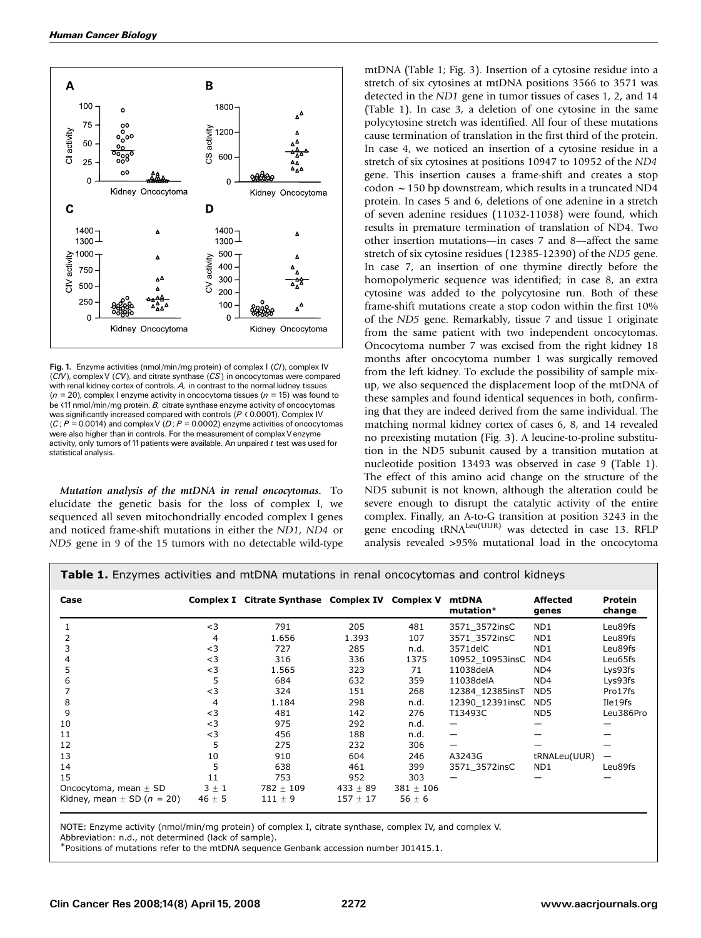

Fig. 1. Enzyme activities (nmol/min/mg protein) of complex I (CI), complex IV (CIV), complexV (CV), and citrate synthase (CS) in oncocytomas were compared with renal kidney cortex of controls. A, in contrast to the normal kidney tissues  $(n = 20)$ , complex I enzyme activity in oncocytoma tissues  $(n = 15)$  was found to be <11 nmol/min/mg protein. B, citrate synthase enzyme activity of oncocytomas was significantly increased compared with controls ( $P$  < 0.0001). Complex IV  $(C; P = 0.0014)$  and complex V (D;  $P = 0.0002$ ) enzyme activities of oncocytomas were also higher than in controls. For the measurement of complexV enzyme activity, only tumors of 11 patients were available. An unpaired  $t$  test was used for statistical analysis.

Mutation analysis of the mtDNA in renal oncocytomas. To elucidate the genetic basis for the loss of complex I, we sequenced all seven mitochondrially encoded complex I genes and noticed frame-shift mutations in either the ND1, ND4 or ND5 gene in 9 of the 15 tumors with no detectable wild-type

mtDNA (Table 1; Fig. 3). Insertion of a cytosine residue into a stretch of six cytosines at mtDNA positions 3566 to 3571 was detected in the ND1 gene in tumor tissues of cases 1, 2, and 14 (Table 1). In case 3, a deletion of one cytosine in the same polycytosine stretch was identified. All four of these mutations cause termination of translation in the first third of the protein. In case 4, we noticed an insertion of a cytosine residue in a stretch of six cytosines at positions 10947 to 10952 of the ND4 gene. This insertion causes a frame-shift and creates a stop codon  $\sim$  150 bp downstream, which results in a truncated ND4 protein. In cases 5 and 6, deletions of one adenine in a stretch of seven adenine residues (11032-11038) were found, which results in premature termination of translation of ND4. Two other insertion mutations—in cases 7 and 8—affect the same stretch of six cytosine residues (12385-12390) of the ND5 gene. In case 7, an insertion of one thymine directly before the homopolymeric sequence was identified; in case 8, an extra cytosine was added to the polycytosine run. Both of these frame-shift mutations create a stop codon within the first 10% of the ND5 gene. Remarkably, tissue 7 and tissue 1 originate from the same patient with two independent oncocytomas. Oncocytoma number 7 was excised from the right kidney 18 months after oncocytoma number 1 was surgically removed from the left kidney. To exclude the possibility of sample mixup, we also sequenced the displacement loop of the mtDNA of these samples and found identical sequences in both, confirming that they are indeed derived from the same individual. The matching normal kidney cortex of cases 6, 8, and 14 revealed no preexisting mutation (Fig. 3). A leucine-to-proline substitution in the ND5 subunit caused by a transition mutation at nucleotide position 13493 was observed in case 9 (Table 1). The effect of this amino acid change on the structure of the ND5 subunit is not known, although the alteration could be severe enough to disrupt the catalytic activity of the entire complex. Finally, an A-to-G transition at position 3243 in the gene encoding tRNA<sup>Leu(UUR)</sup> was detected in case 13. RFLP analysis revealed >95% mutational load in the oncocytoma

**Table 1.** Enzymes activities and mtDNA mutations in renal oncocytomas and control kidneys

| Case                           |            | Complex I Citrate Synthase Complex IV Complex V |              |               | mtDNA<br>$mutation*$ | <b>Affected</b><br>genes | <b>Protein</b><br>change |
|--------------------------------|------------|-------------------------------------------------|--------------|---------------|----------------------|--------------------------|--------------------------|
|                                | $<$ 3      | 791                                             | 205          | 481           | 3571 3572insC        | ND <sub>1</sub>          | Leu89fs                  |
|                                | 4          | 1.656                                           | 1.393        | 107           | 3571 3572insC        | ND <sub>1</sub>          | Leu89fs                  |
|                                | $<$ 3      | 727                                             | 285          | n.d.          | 3571 del C           | ND <sub>1</sub>          | Leu89fs                  |
|                                | $<$ 3      | 316                                             | 336          | 1375          | 10952_10953insC      | ND4                      | Leu65fs                  |
|                                | $<$ 3      | 1.565                                           | 323          | 71            | 11038delA            | ND4                      | Lys93fs                  |
|                                | 5          | 684                                             | 632          | 359           | 11038delA            | ND4                      | Lys93fs                  |
|                                | $<$ 3      | 324                                             | 151          | 268           | 12384_12385insT      | ND <sub>5</sub>          | Pro17fs                  |
| 8                              | 4          | 1.184                                           | 298          | n.d.          | 12390_12391insC      | ND <sub>5</sub>          | Ile19fs                  |
| 9                              | $<$ 3      | 481                                             | 142          | 276           | T13493C              | ND5                      | Leu386Pro                |
| 10                             | $<$ 3      | 975                                             | 292          | n.d.          |                      |                          |                          |
| 11                             | $<$ 3      | 456                                             | 188          | n.d.          |                      |                          |                          |
| 12                             | 5          | 275                                             | 232          | 306           |                      |                          |                          |
| 13                             | 10         | 910                                             | 604          | 246           | A3243G               | tRNALeu(UUR)             |                          |
| 14                             | 5          | 638                                             | 461          | 399           | 3571 3572insC        | ND <sub>1</sub>          | Leu89fs                  |
| 15                             | 11         | 753                                             | 952          | 303           |                      |                          |                          |
| Oncocytoma, mean $\pm$ SD      | $3 \pm 1$  | 782 $\pm$ 109                                   | $433 \pm 89$ | $381 \pm 106$ |                      |                          |                          |
| Kidney, mean $\pm$ SD (n = 20) | 46 $\pm$ 5 | $111 \pm 9$                                     | $157 \pm 17$ | 56 $\pm$ 6    |                      |                          |                          |

NOTE: Enzyme activity (nmol/min/mg protein) of complex I, citrate synthase, complex IV, and complex V.

Abbreviation: n.d., not determined (lack of sample).

\*Positions of mutations refer to the mtDNA sequence Genbank accession number J01415.1.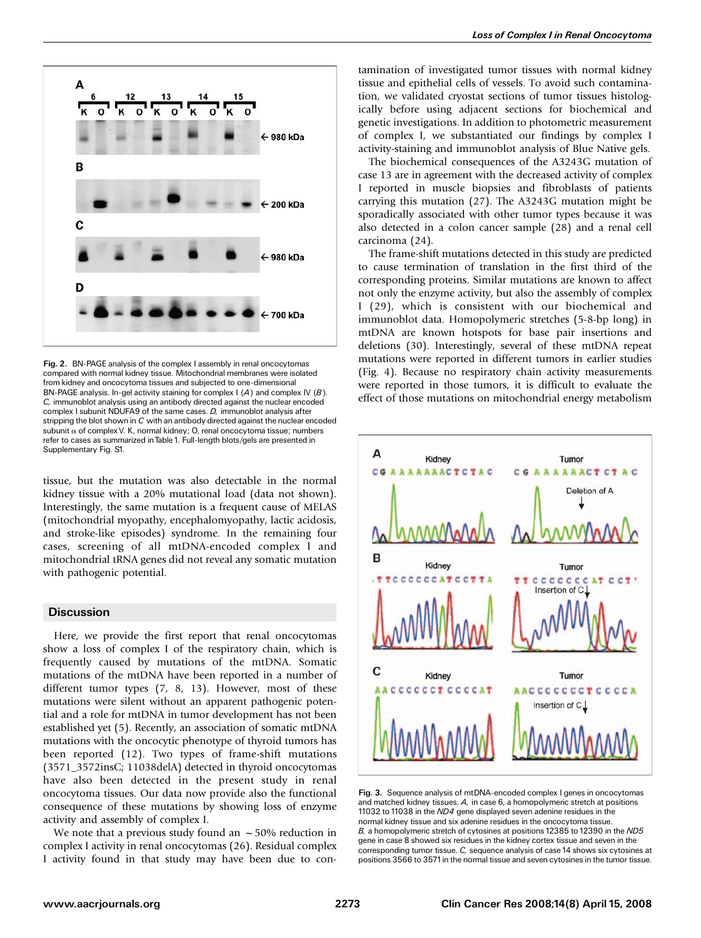

Fig. 2. BN-PAGE analysis of the complex I assembly in renal oncocytomas compared with normal kidney tissue. Mitochondrial membranes were isolated from kidney and oncocytoma tissues and subjected to one-dimensional BN-PAGE analysis. In-gel activity staining for complex I  $(A)$  and complex IV  $(B)$ . C, immunoblot analysis using an antibody directed against the nuclear encoded complex I subunit NDUFA9 of the same cases. D, immunoblot analysis after stripping the blot shown in C with an antibody directed against the nuclear encoded subunit  $\alpha$  of complex V. K, normal kidney; O, renal oncocytoma tissue; numbers refer to cases as summarized inTable 1. Full-length blots/gels are presented in Supplementary Fig. S1.

tissue, but the mutation was also detectable in the normal kidney tissue with a 20% mutational load (data not shown). Interestingly, the same mutation is a frequent cause of MELAS (mitochondrial myopathy, encephalomyopathy, lactic acidosis, and stroke-like episodes) syndrome. In the remaining four cases, screening of all mtDNA-encoded complex I and mitochondrial tRNA genes did not reveal any somatic mutation with pathogenic potential.

## **Discussion**

Here, we provide the first report that renal oncocytomas show a loss of complex I of the respiratory chain, which is frequently caused by mutations of the mtDNA. Somatic mutations of the mtDNA have been reported in a number of different tumor types (7, 8, 13). However, most of these mutations were silent without an apparent pathogenic potential and a role for mtDNA in tumor development has not been established yet (5). Recently, an association of somatic mtDNA mutations with the oncocytic phenotype of thyroid tumors has been reported (12). Two types of frame-shift mutations (3571\_3572insC; 11038delA) detected in thyroid oncocytomas have also been detected in the present study in renal oncocytoma tissues. Our data now provide also the functional consequence of these mutations by showing loss of enzyme activity and assembly of complex I.

We note that a previous study found an  $\sim$  50% reduction in complex I activity in renal oncocytomas (26). Residual complex I activity found in that study may have been due to contamination of investigated tumor tissues with normal kidney tissue and epithelial cells of vessels. To avoid such contamination, we validated cryostat sections of tumor tissues histologically before using adjacent sections for biochemical and genetic investigations. In addition to photometric measurement of complex I, we substantiated our findings by complex I activity-staining and immunoblot analysis of Blue Native gels.

The biochemical consequences of the A3243G mutation of case 13 are in agreement with the decreased activity of complex I reported in muscle biopsies and fibroblasts of patients carrying this mutation (27). The A3243G mutation might be sporadically associated with other tumor types because it was also detected in a colon cancer sample (28) and a renal cell carcinoma (24).

The frame-shift mutations detected in this study are predicted to cause termination of translation in the first third of the corresponding proteins. Similar mutations are known to affect not only the enzyme activity, but also the assembly of complex I (29), which is consistent with our biochemical and immunoblot data. Homopolymeric stretches (5-8-bp long) in mtDNA are known hotspots for base pair insertions and deletions (30). Interestingly, several of these mtDNA repeat mutations were reported in different tumors in earlier studies (Fig. 4). Because no respiratory chain activity measurements were reported in those tumors, it is difficult to evaluate the effect of those mutations on mitochondrial energy metabolism



Fig. 3. Sequence analysis of mtDNA-encoded complex I genes in oncocytomas and matched kidney tissues. A, in case 6, a homopolymeric stretch at positions 11032 to 11038 in the ND4 gene displayed seven adenine residues in the normal kidney tissue and six adenine residues in the oncocytoma tissue. B, a homopolymeric stretch of cytosines at positions 12385 to 12390 in the ND5 gene in case 8 showed six residues in the kidney cortex tissue and seven in the corresponding tumor tissue. C, sequence analysis of case 14 shows six cytosines at positions 3566 to 3571in the normal tissue and seven cytosines in the tumor tissue.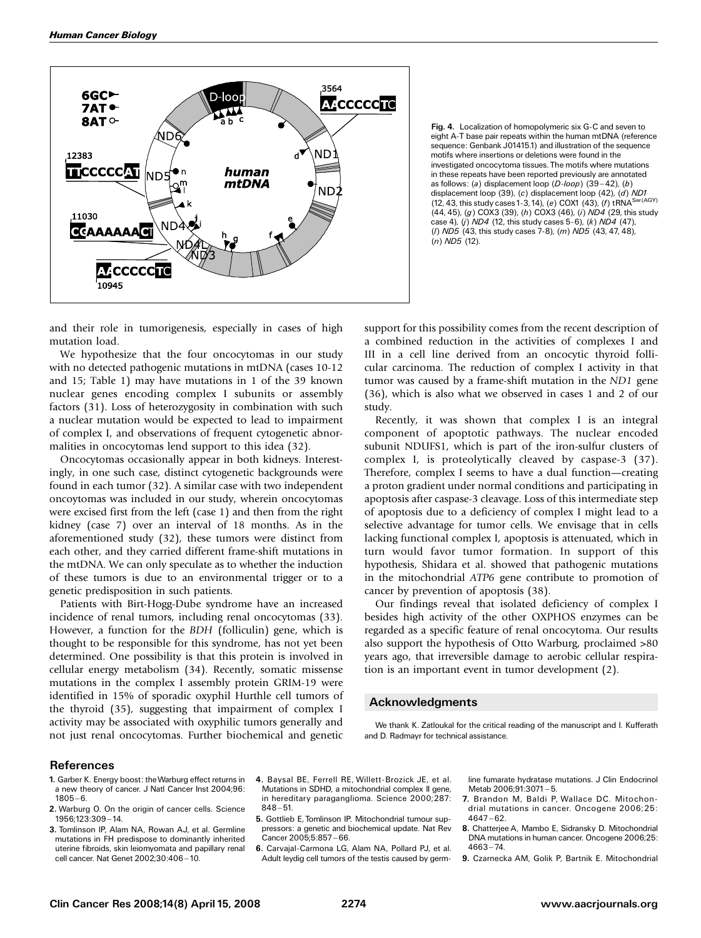

Fig. 4. Localization of homopolymeric six G-C and seven to eight A-T base pair repeats within the human mtDNA (reference sequence: Genbank J01415.1) and illustration of the sequence motifs where insertions or deletions were found in the investigated oncocytoma tissues. The motifs where mutations in these repeats have been reported previously are annotated as follows: (a) displacement loop  $(D-loop)$  (39-42), (b) displacement loop (39), (c) displacement loop (42), (d) ND1 (12, 43, this study cases 1-3, 14), (e) COX1 (43), (f) tRNA<sup>Ser(AGY)</sup> (44, 45), (g) COX3 (39), (h) COX3 (46), (i) ND4 (29, this study case 4), (j)  $NDA$  (12, this study cases 5-6), (k)  $NDA$  (47), (l) ND5 (43, this study cases 7-8), (m) ND5 (43, 47, 48),  $(n)$  ND5 (12).

and their role in tumorigenesis, especially in cases of high mutation load.

We hypothesize that the four oncocytomas in our study with no detected pathogenic mutations in mtDNA (cases 10-12 and 15; Table 1) may have mutations in 1 of the 39 known nuclear genes encoding complex I subunits or assembly factors (31). Loss of heterozygosity in combination with such a nuclear mutation would be expected to lead to impairment of complex I, and observations of frequent cytogenetic abnormalities in oncocytomas lend support to this idea (32).

Oncocytomas occasionally appear in both kidneys. Interestingly, in one such case, distinct cytogenetic backgrounds were found in each tumor (32). A similar case with two independent oncoytomas was included in our study, wherein oncocytomas were excised first from the left (case 1) and then from the right kidney (case 7) over an interval of 18 months. As in the aforementioned study (32), these tumors were distinct from each other, and they carried different frame-shift mutations in the mtDNA. We can only speculate as to whether the induction of these tumors is due to an environmental trigger or to a genetic predisposition in such patients.

Patients with Birt-Hogg-Dube syndrome have an increased incidence of renal tumors, including renal oncocytomas (33). However, a function for the BDH (folliculin) gene, which is thought to be responsible for this syndrome, has not yet been determined. One possibility is that this protein is involved in cellular energy metabolism (34). Recently, somatic missense mutations in the complex I assembly protein GRIM-19 were identified in 15% of sporadic oxyphil Hurthle cell tumors of the thyroid (35), suggesting that impairment of complex I activity may be associated with oxyphilic tumors generally and not just renal oncocytomas. Further biochemical and genetic support for this possibility comes from the recent description of a combined reduction in the activities of complexes I and III in a cell line derived from an oncocytic thyroid follicular carcinoma. The reduction of complex I activity in that tumor was caused by a frame-shift mutation in the ND1 gene (36), which is also what we observed in cases 1 and 2 of our study.

Recently, it was shown that complex I is an integral component of apoptotic pathways. The nuclear encoded subunit NDUFS1, which is part of the iron-sulfur clusters of complex I, is proteolytically cleaved by caspase-3 (37). Therefore, complex I seems to have a dual function—creating a proton gradient under normal conditions and participating in apoptosis after caspase-3 cleavage. Loss of this intermediate step of apoptosis due to a deficiency of complex I might lead to a selective advantage for tumor cells. We envisage that in cells lacking functional complex I, apoptosis is attenuated, which in turn would favor tumor formation. In support of this hypothesis, Shidara et al. showed that pathogenic mutations in the mitochondrial ATP6 gene contribute to promotion of cancer by prevention of apoptosis (38).

Our findings reveal that isolated deficiency of complex I besides high activity of the other OXPHOS enzymes can be regarded as a specific feature of renal oncocytoma. Our results also support the hypothesis of Otto Warburg, proclaimed >80 years ago, that irreversible damage to aerobic cellular respiration is an important event in tumor development (2).

## Acknowledgments

We thank K. Zatloukal for the critical reading of the manuscript and I. Kufferath and D. Radmayr for technical assistance.

#### References

- 1. Garber K. Energy boost: theWarburg effect returns in a new theory of cancer. J Natl Cancer Inst 2004;96:  $1805 - 6.$
- 2. Warburg O. On the origin of cancer cells. Science 1956;123:309 - 14.
- 3. Tomlinson IP, Alam NA, Rowan AJ, et al. Germline mutations in FH predispose to dominantly inherited uterine fibroids, skin leiomyomata and papillary renal cell cancer. Nat Genet 2002:30:406-10.
- 4. Baysal BE, Ferrell RE, Willett-Brozick JE, et al. Mutations in SDHD, a mitochondrial complex II gene, in hereditary paraganglioma. Science 2000;287:  $848 - 51.$
- 5. Gottlieb E, Tomlinson IP. Mitochondrial tumour suppressors: a genetic and biochemical update. Nat Rev Cancer 2005:5:857-66.
- 6. Carvajal-Carmona LG, Alam NA, Pollard PJ, et al. Adult leydig cell tumors of the testis caused by germ-

line fumarate hydratase mutations. J Clin Endocrinol Metab 2006:91:3071-5.

- 7. Brandon M, Baldi P, Wallace DC. Mitochondrial mutations in cancer. Oncogene 2006;25:  $4647 - 62.$
- 8. Chatterjee A, Mambo E, Sidransky D. Mitochondrial DNA mutations in human cancer. Oncogene 2006;25:  $4663 - 74.$
- 9. Czarnecka AM, Golik P, Bartnik E. Mitochondrial